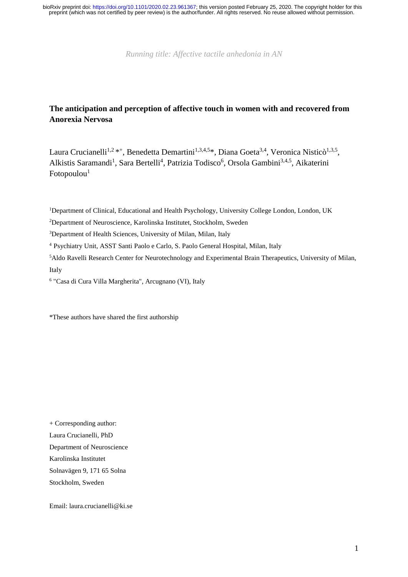*Running title: Affective tactile anhedonia in AN*

# **The anticipation and perception of affective touch in women with and recovered from Anorexia Nervosa**

Laura Crucianelli<sup>1,2</sup>\*<sup>+</sup>, Benedetta Demartini<sup>1,3,4,5</sup>\*, Diana Goeta<sup>3,4</sup>, Veronica Nisticò<sup>1,3,5</sup>, Alkistis Saramandi<sup>1</sup>, Sara Bertelli<sup>4</sup>, Patrizia Todisco<sup>6</sup>, Orsola Gambini<sup>3,4,5</sup>, Aikaterini  $Fotopoulou<sup>1</sup>$ 

<sup>1</sup>Department of Clinical, Educational and Health Psychology, University College London, London, UK

<sup>2</sup>Department of Neuroscience, Karolinska Institutet, Stockholm, Sweden

<sup>3</sup>Department of Health Sciences, University of Milan, Milan, Italy

<sup>4</sup> Psychiatry Unit, ASST Santi Paolo e Carlo, S. Paolo General Hospital, Milan, Italy

<sup>5</sup>Aldo Ravelli Research Center for Neurotechnology and Experimental Brain Therapeutics, University of Milan, Italy

6 "Casa di Cura Villa Margherita", Arcugnano (VI), Italy

\*These authors have shared the first authorship

+ Corresponding author: Laura Crucianelli, PhD Department of Neuroscience Karolinska Institutet Solnavägen 9, 171 65 Solna Stockholm, Sweden

Email: laura.crucianelli@ki.se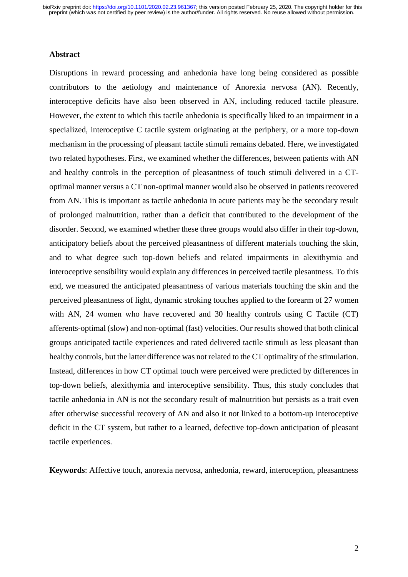#### **Abstract**

Disruptions in reward processing and anhedonia have long being considered as possible contributors to the aetiology and maintenance of Anorexia nervosa (AN). Recently, interoceptive deficits have also been observed in AN, including reduced tactile pleasure. However, the extent to which this tactile anhedonia is specifically liked to an impairment in a specialized, interoceptive C tactile system originating at the periphery, or a more top-down mechanism in the processing of pleasant tactile stimuli remains debated. Here, we investigated two related hypotheses. First, we examined whether the differences, between patients with AN and healthy controls in the perception of pleasantness of touch stimuli delivered in a CToptimal manner versus a CT non-optimal manner would also be observed in patients recovered from AN. This is important as tactile anhedonia in acute patients may be the secondary result of prolonged malnutrition, rather than a deficit that contributed to the development of the disorder. Second, we examined whether these three groups would also differ in their top-down, anticipatory beliefs about the perceived pleasantness of different materials touching the skin, and to what degree such top-down beliefs and related impairments in alexithymia and interoceptive sensibility would explain any differences in perceived tactile plesantness. To this end, we measured the anticipated pleasantness of various materials touching the skin and the perceived pleasantness of light, dynamic stroking touches applied to the forearm of 27 women with AN, 24 women who have recovered and 30 healthy controls using C Tactile (CT) afferents-optimal (slow) and non-optimal (fast) velocities. Our results showed that both clinical groups anticipated tactile experiences and rated delivered tactile stimuli as less pleasant than healthy controls, but the latter difference was not related to the CT optimality of the stimulation. Instead, differences in how CT optimal touch were perceived were predicted by differences in top-down beliefs, alexithymia and interoceptive sensibility. Thus, this study concludes that tactile anhedonia in AN is not the secondary result of malnutrition but persists as a trait even after otherwise successful recovery of AN and also it not linked to a bottom-up interoceptive deficit in the CT system, but rather to a learned, defective top-down anticipation of pleasant tactile experiences.

**Keywords**: Affective touch, anorexia nervosa, anhedonia, reward, interoception, pleasantness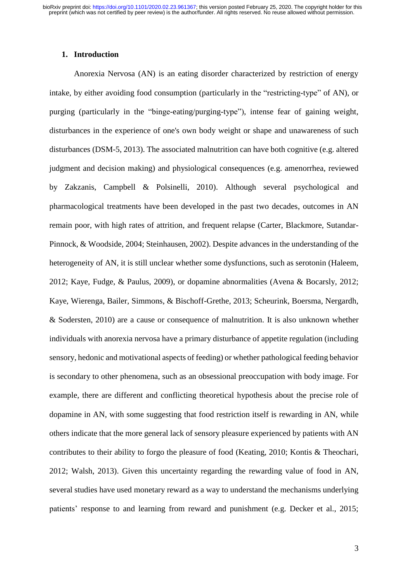#### **1. Introduction**

Anorexia Nervosa (AN) is an eating disorder characterized by restriction of energy intake, by either avoiding food consumption (particularly in the "restricting-type" of AN), or purging (particularly in the "binge-eating/purging-type"), intense fear of gaining weight, disturbances in the experience of one's own body weight or shape and unawareness of such disturbances (DSM-5, 2013). The associated malnutrition can have both cognitive (e.g. altered judgment and decision making) and physiological consequences (e.g. amenorrhea, reviewed by Zakzanis, Campbell & Polsinelli, 2010). Although several psychological and pharmacological treatments have been developed in the past two decades, outcomes in AN remain poor, with high rates of attrition, and frequent relapse (Carter, Blackmore, Sutandar-Pinnock, & Woodside, 2004; Steinhausen, 2002). Despite advances in the understanding of the heterogeneity of AN, it is still unclear whether some dysfunctions, such as serotonin (Haleem, 2012; Kaye, Fudge, & Paulus, 2009), or dopamine abnormalities (Avena & Bocarsly, 2012; Kaye, Wierenga, Bailer, Simmons, & Bischoff-Grethe, 2013; Scheurink, Boersma, Nergardh, & Sodersten, 2010) are a cause or consequence of malnutrition. It is also unknown whether individuals with anorexia nervosa have a primary disturbance of appetite regulation (including sensory, hedonic and motivational aspects of feeding) or whether pathological feeding behavior is secondary to other phenomena, such as an obsessional preoccupation with body image. For example, there are different and conflicting theoretical hypothesis about the precise role of dopamine in AN, with some suggesting that food restriction itself is rewarding in AN, while others indicate that the more general lack of sensory pleasure experienced by patients with AN contributes to their ability to forgo the pleasure of food (Keating, 2010; Kontis & Theochari, 2012; Walsh, 2013). Given this uncertainty regarding the rewarding value of food in AN, several studies have used monetary reward as a way to understand the mechanisms underlying patients' response to and learning from reward and punishment (e.g. Decker et al., 2015;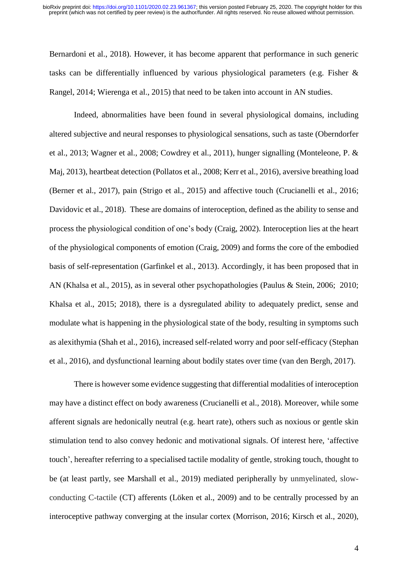Bernardoni et al., 2018). However, it has become apparent that performance in such generic tasks can be differentially influenced by various physiological parameters (e.g. Fisher & Rangel, 2014; Wierenga et al., 2015) that need to be taken into account in AN studies.

Indeed, abnormalities have been found in several physiological domains, including altered subjective and neural responses to physiological sensations, such as taste (Oberndorfer et al., 2013; Wagner et al., 2008; Cowdrey et al., 2011), hunger signalling (Monteleone, P. & Maj, 2013), heartbeat detection (Pollatos et al., 2008; Kerr et al., 2016), aversive breathing load (Berner et al., 2017), pain (Strigo et al., 2015) and affective touch (Crucianelli et al., 2016; Davidovic et al., 2018). These are domains of interoception, defined as the ability to sense and process the physiological condition of one's body (Craig, 2002). Interoception lies at the heart of the physiological components of emotion (Craig, 2009) and forms the core of the embodied basis of self-representation (Garfinkel et al., 2013). Accordingly, it has been proposed that in AN (Khalsa et al., 2015), as in several other psychopathologies (Paulus & Stein, 2006; 2010; Khalsa et al., 2015; 2018), there is a dysregulated ability to adequately predict, sense and modulate what is happening in the physiological state of the body, resulting in symptoms such as alexithymia (Shah et al., 2016), increased self-related worry and poor self-efficacy (Stephan et al., 2016), and dysfunctional learning about bodily states over time (van den Bergh, 2017).

There is however some evidence suggesting that differential modalities of interoception may have a distinct effect on body awareness (Crucianelli et al., 2018). Moreover, while some afferent signals are hedonically neutral (e.g. heart rate), others such as noxious or gentle skin stimulation tend to also convey hedonic and motivational signals. Of interest here, 'affective touch', hereafter referring to a specialised tactile modality of gentle, stroking touch, thought to be (at least partly, see Marshall et al., 2019) mediated peripherally by unmyelinated, slowconducting C-tactile (CT) afferents (Löken et al., 2009) and to be centrally processed by an interoceptive pathway converging at the insular cortex (Morrison, 2016; Kirsch et al., 2020),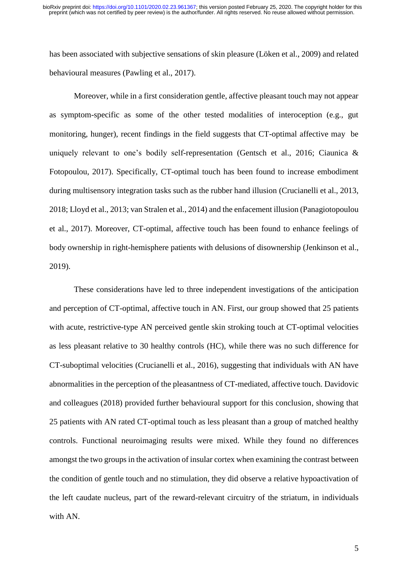has been associated with subjective sensations of skin pleasure (Löken et al., 2009) and related behavioural measures (Pawling et al., 2017).

Moreover, while in a first consideration gentle, affective pleasant touch may not appear as symptom-specific as some of the other tested modalities of interoception (e.g., gut monitoring, hunger), recent findings in the field suggests that CT-optimal affective may be uniquely relevant to one's bodily self-representation (Gentsch et al., 2016; Ciaunica & Fotopoulou, 2017). Specifically, CT-optimal touch has been found to increase embodiment during multisensory integration tasks such as the rubber hand illusion (Crucianelli et al., 2013, 2018; Lloyd et al., 2013; van Stralen et al., 2014) and the enfacement illusion (Panagiotopoulou et al., 2017). Moreover, CT-optimal, affective touch has been found to enhance feelings of body ownership in right-hemisphere patients with delusions of disownership (Jenkinson et al., 2019).

These considerations have led to three independent investigations of the anticipation and perception of CT-optimal, affective touch in AN. First, our group showed that 25 patients with acute, restrictive-type AN perceived gentle skin stroking touch at CT-optimal velocities as less pleasant relative to 30 healthy controls (HC), while there was no such difference for CT-suboptimal velocities (Crucianelli et al., 2016), suggesting that individuals with AN have abnormalities in the perception of the pleasantness of CT-mediated, affective touch. Davidovic and colleagues (2018) provided further behavioural support for this conclusion, showing that 25 patients with AN rated CT-optimal touch as less pleasant than a group of matched healthy controls. Functional neuroimaging results were mixed. While they found no differences amongst the two groups in the activation of insular cortex when examining the contrast between the condition of gentle touch and no stimulation, they did observe a relative hypoactivation of the left caudate nucleus, part of the reward-relevant circuitry of the striatum, in individuals with AN.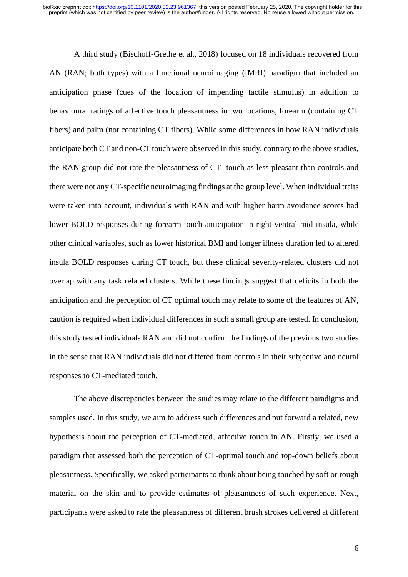A third study (Bischoff-Grethe et al., 2018) focused on 18 individuals recovered from AN (RAN; both types) with a functional neuroimaging (fMRI) paradigm that included an anticipation phase (cues of the location of impending tactile stimulus) in addition to behavioural ratings of affective touch pleasantness in two locations, forearm (containing CT fibers) and palm (not containing CT fibers). While some differences in how RAN individuals anticipate both CT and non-CT touch were observed in this study, contrary to the above studies, the RAN group did not rate the pleasantness of CT- touch as less pleasant than controls and there were not any CT-specific neuroimaging findings at the group level. When individual traits were taken into account, individuals with RAN and with higher harm avoidance scores had lower BOLD responses during forearm touch anticipation in right ventral mid-insula, while other clinical variables, such as lower historical BMI and longer illness duration led to altered insula BOLD responses during CT touch, but these clinical severity-related clusters did not overlap with any task related clusters. While these findings suggest that deficits in both the anticipation and the perception of CT optimal touch may relate to some of the features of AN, caution is required when individual differences in such a small group are tested. In conclusion, this study tested individuals RAN and did not confirm the findings of the previous two studies in the sense that RAN individuals did not differed from controls in their subjective and neural responses to CT-mediated touch.

The above discrepancies between the studies may relate to the different paradigms and samples used. In this study, we aim to address such differences and put forward a related, new hypothesis about the perception of CT-mediated, affective touch in AN. Firstly, we used a paradigm that assessed both the perception of CT-optimal touch and top-down beliefs about pleasantness. Specifically, we asked participants to think about being touched by soft or rough material on the skin and to provide estimates of pleasantness of such experience. Next, participants were asked to rate the pleasantness of different brush strokes delivered at different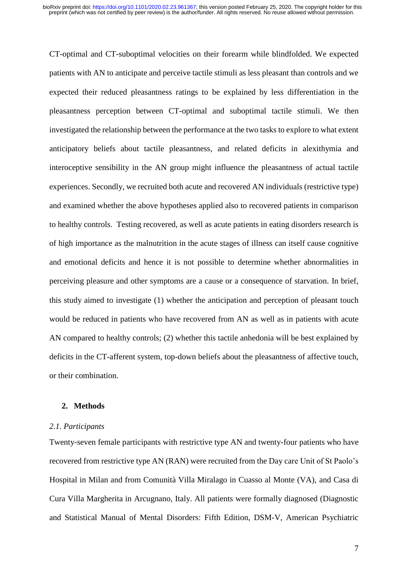CT-optimal and CT-suboptimal velocities on their forearm while blindfolded. We expected patients with AN to anticipate and perceive tactile stimuli as less pleasant than controls and we expected their reduced pleasantness ratings to be explained by less differentiation in the pleasantness perception between CT-optimal and suboptimal tactile stimuli. We then investigated the relationship between the performance at the two tasks to explore to what extent anticipatory beliefs about tactile pleasantness, and related deficits in alexithymia and interoceptive sensibility in the AN group might influence the pleasantness of actual tactile experiences. Secondly, we recruited both acute and recovered AN individuals (restrictive type) and examined whether the above hypotheses applied also to recovered patients in comparison to healthy controls. Testing recovered, as well as acute patients in eating disorders research is of high importance as the malnutrition in the acute stages of illness can itself cause cognitive and emotional deficits and hence it is not possible to determine whether abnormalities in perceiving pleasure and other symptoms are a cause or a consequence of starvation. In brief, this study aimed to investigate (1) whether the anticipation and perception of pleasant touch would be reduced in patients who have recovered from AN as well as in patients with acute AN compared to healthy controls; (2) whether this tactile anhedonia will be best explained by deficits in the CT-afferent system, top-down beliefs about the pleasantness of affective touch, or their combination.

#### **2. Methods**

#### *2.1. Participants*

Twenty-seven female participants with restrictive type AN and twenty-four patients who have recovered from restrictive type AN (RAN) were recruited from the Day care Unit of St Paolo's Hospital in Milan and from Comunità Villa Miralago in Cuasso al Monte (VA), and Casa di Cura Villa Margherita in Arcugnano, Italy. All patients were formally diagnosed (Diagnostic and Statistical Manual of Mental Disorders: Fifth Edition, DSM-V, American Psychiatric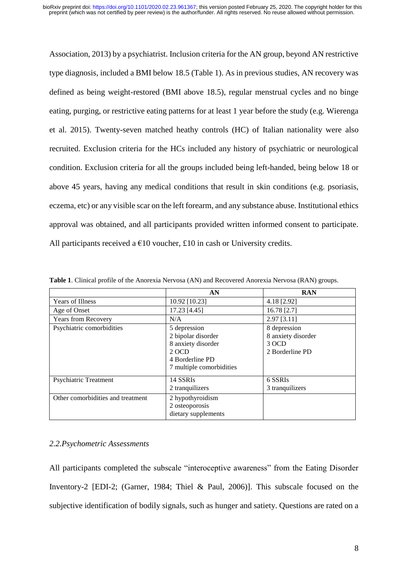Association, 2013) by a psychiatrist. Inclusion criteria for the AN group, beyond AN restrictive type diagnosis, included a BMI below 18.5 (Table 1). As in previous studies, AN recovery was defined as being weight-restored (BMI above 18.5), regular menstrual cycles and no binge eating, purging, or restrictive eating patterns for at least 1 year before the study (e.g. Wierenga et al. 2015). Twenty-seven matched heathy controls (HC) of Italian nationality were also recruited. Exclusion criteria for the HCs included any history of psychiatric or neurological condition. Exclusion criteria for all the groups included being left-handed, being below 18 or above 45 years, having any medical conditions that result in skin conditions (e.g. psoriasis, eczema, etc) or any visible scar on the left forearm, and any substance abuse. Institutional ethics approval was obtained, and all participants provided written informed consent to participate. All participants received a  $\epsilon$ 10 voucher, £10 in cash or University credits.

|                                   | AN                                                                                                               | <b>RAN</b>                                                     |
|-----------------------------------|------------------------------------------------------------------------------------------------------------------|----------------------------------------------------------------|
| <b>Years of Illness</b>           | 10.92 [10.23]                                                                                                    | 4.18 [2.92]                                                    |
| Age of Onset                      | 17.23 [4.45]                                                                                                     | 16.78 [2.7]                                                    |
| Years from Recovery               | N/A                                                                                                              | $2.97$ [3.11]                                                  |
| Psychiatric comorbidities         | 5 depression<br>2 bipolar disorder<br>8 anxiety disorder<br>2 OCD<br>4 Borderline PD<br>7 multiple comorbidities | 8 depression<br>8 anxiety disorder<br>3 OCD<br>2 Borderline PD |
| <b>Psychiatric Treatment</b>      | 14 SSRIs<br>2 tranquilizers                                                                                      | 6 SSRIs<br>3 tranquilizers                                     |
| Other comorbidities and treatment | 2 hypothyroidism<br>2 osteoporosis<br>dietary supplements                                                        |                                                                |

**Table 1**. Clinical profile of the Anorexia Nervosa (AN) and Recovered Anorexia Nervosa (RAN) groups.

# *2.2.Psychometric Assessments*

All participants completed the subscale "interoceptive awareness" from the Eating Disorder Inventory-2 [EDI-2; (Garner, 1984; Thiel & Paul, 2006)]. This subscale focused on the subjective identification of bodily signals, such as hunger and satiety. Questions are rated on a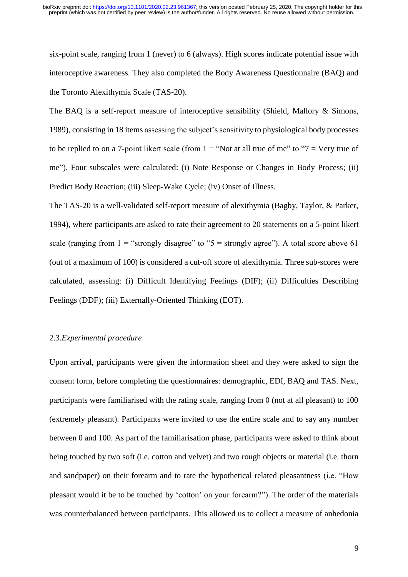six-point scale, ranging from 1 (never) to 6 (always). High scores indicate potential issue with interoceptive awareness. They also completed the Body Awareness Questionnaire (BAQ) and the Toronto Alexithymia Scale (TAS-20).

The BAQ is a self-report measure of interoceptive sensibility (Shield, Mallory & Simons, 1989), consisting in 18 items assessing the subject's sensitivity to physiological body processes to be replied to on a 7-point likert scale (from  $1 =$  "Not at all true of me" to "7 = Very true of me"). Four subscales were calculated: (i) Note Response or Changes in Body Process; (ii) Predict Body Reaction; (iii) Sleep-Wake Cycle; (iv) Onset of Illness.

The TAS-20 is a well-validated self-report measure of alexithymia (Bagby, Taylor, & Parker, 1994), where participants are asked to rate their agreement to 20 statements on a 5-point likert scale (ranging from  $1 =$  "strongly disagree" to "5 = strongly agree"). A total score above 61 (out of a maximum of 100) is considered a cut-off score of alexithymia. Three sub-scores were calculated, assessing: (i) Difficult Identifying Feelings (DIF); (ii) Difficulties Describing Feelings (DDF); (iii) Externally-Oriented Thinking (EOT).

#### 2.3.*Experimental procedure*

Upon arrival, participants were given the information sheet and they were asked to sign the consent form, before completing the questionnaires: demographic, EDI, BAQ and TAS. Next, participants were familiarised with the rating scale, ranging from 0 (not at all pleasant) to 100 (extremely pleasant). Participants were invited to use the entire scale and to say any number between 0 and 100. As part of the familiarisation phase, participants were asked to think about being touched by two soft (i.e. cotton and velvet) and two rough objects or material (i.e. thorn and sandpaper) on their forearm and to rate the hypothetical related pleasantness (i.e. "How pleasant would it be to be touched by 'cotton' on your forearm?"). The order of the materials was counterbalanced between participants. This allowed us to collect a measure of anhedonia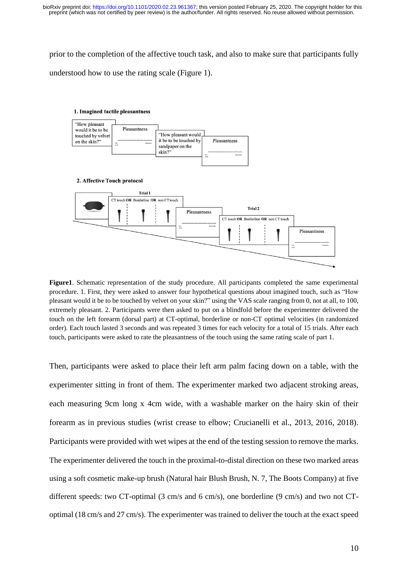prior to the completion of the affective touch task, and also to make sure that participants fully understood how to use the rating scale (Figure 1).



**Figure1**. Schematic representation of the study procedure. All participants completed the same experimental procedure. 1. First, they were asked to answer four hypothetical questions about imagined touch, such as "How pleasant would it be to be touched by velvet on your skin?" using the VAS scale ranging from 0, not at all, to 100, extremely pleasant. 2. Participants were then asked to put on a blindfold before the experimenter delivered the touch on the left forearm (dorsal part) at CT-optimal, borderline or non-CT optimal velocities (in randomized order). Each touch lasted 3 seconds and was repeated 3 times for each velocity for a total of 15 trials. After each touch, participants were asked to rate the pleasantness of the touch using the same rating scale of part 1.

Then, participants were asked to place their left arm palm facing down on a table, with the experimenter sitting in front of them. The experimenter marked two adjacent stroking areas, each measuring 9cm long x 4cm wide, with a washable marker on the hairy skin of their forearm as in previous studies (wrist crease to elbow; Crucianelli et al., 2013, 2016, 2018). Participants were provided with wet wipes at the end of the testing session to remove the marks. The experimenter delivered the touch in the proximal-to-distal direction on these two marked areas using a soft cosmetic make-up brush (Natural hair Blush Brush, N. 7, The Boots Company) at five different speeds: two CT-optimal (3 cm/s and 6 cm/s), one borderline (9 cm/s) and two not CToptimal (18 cm/s and 27 cm/s). The experimenter was trained to deliver the touch at the exact speed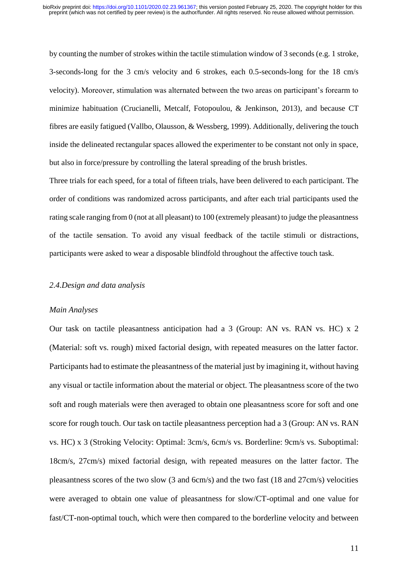by counting the number of strokes within the tactile stimulation window of 3 seconds (e.g. 1 stroke, 3-seconds-long for the 3 cm/s velocity and 6 strokes, each 0.5-seconds-long for the 18 cm/s velocity). Moreover, stimulation was alternated between the two areas on participant's forearm to minimize habituation (Crucianelli, Metcalf, Fotopoulou, & Jenkinson, 2013), and because CT fibres are easily fatigued (Vallbo, Olausson, & Wessberg, 1999). Additionally, delivering the touch inside the delineated rectangular spaces allowed the experimenter to be constant not only in space, but also in force/pressure by controlling the lateral spreading of the brush bristles.

Three trials for each speed, for a total of fifteen trials, have been delivered to each participant. The order of conditions was randomized across participants, and after each trial participants used the rating scale ranging from 0 (not at all pleasant) to 100 (extremely pleasant) to judge the pleasantness of the tactile sensation. To avoid any visual feedback of the tactile stimuli or distractions, participants were asked to wear a disposable blindfold throughout the affective touch task.

#### *2.4.Design and data analysis*

#### *Main Analyses*

Our task on tactile pleasantness anticipation had a 3 (Group: AN vs. RAN vs. HC) x 2 (Material: soft vs. rough) mixed factorial design, with repeated measures on the latter factor. Participants had to estimate the pleasantness of the material just by imagining it, without having any visual or tactile information about the material or object. The pleasantness score of the two soft and rough materials were then averaged to obtain one pleasantness score for soft and one score for rough touch. Our task on tactile pleasantness perception had a 3 (Group: AN vs. RAN vs. HC) x 3 (Stroking Velocity: Optimal: 3cm/s, 6cm/s vs. Borderline: 9cm/s vs. Suboptimal: 18cm/s, 27cm/s) mixed factorial design, with repeated measures on the latter factor. The pleasantness scores of the two slow (3 and 6cm/s) and the two fast (18 and 27cm/s) velocities were averaged to obtain one value of pleasantness for slow/CT-optimal and one value for fast/CT-non-optimal touch, which were then compared to the borderline velocity and between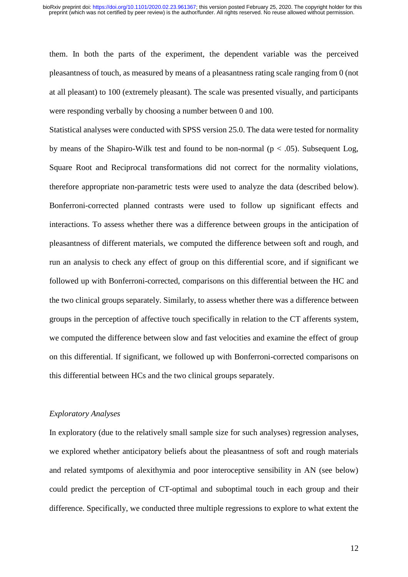them. In both the parts of the experiment, the dependent variable was the perceived pleasantness of touch, as measured by means of a pleasantness rating scale ranging from 0 (not at all pleasant) to 100 (extremely pleasant). The scale was presented visually, and participants were responding verbally by choosing a number between 0 and 100.

Statistical analyses were conducted with SPSS version 25.0. The data were tested for normality by means of the Shapiro-Wilk test and found to be non-normal ( $p < .05$ ). Subsequent Log, Square Root and Reciprocal transformations did not correct for the normality violations, therefore appropriate non-parametric tests were used to analyze the data (described below). Bonferroni-corrected planned contrasts were used to follow up significant effects and interactions. To assess whether there was a difference between groups in the anticipation of pleasantness of different materials, we computed the difference between soft and rough, and run an analysis to check any effect of group on this differential score, and if significant we followed up with Bonferroni-corrected, comparisons on this differential between the HC and the two clinical groups separately. Similarly, to assess whether there was a difference between groups in the perception of affective touch specifically in relation to the CT afferents system, we computed the difference between slow and fast velocities and examine the effect of group on this differential. If significant, we followed up with Bonferroni-corrected comparisons on this differential between HCs and the two clinical groups separately.

# *Exploratory Analyses*

In exploratory (due to the relatively small sample size for such analyses) regression analyses, we explored whether anticipatory beliefs about the pleasantness of soft and rough materials and related symtpoms of alexithymia and poor interoceptive sensibility in AN (see below) could predict the perception of CT-optimal and suboptimal touch in each group and their difference. Specifically, we conducted three multiple regressions to explore to what extent the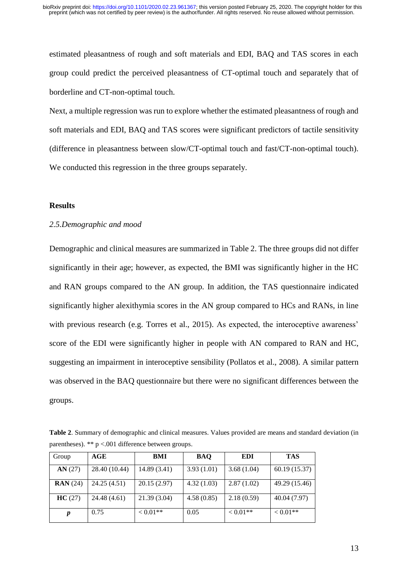estimated pleasantness of rough and soft materials and EDI, BAQ and TAS scores in each group could predict the perceived pleasantness of CT-optimal touch and separately that of borderline and CT-non-optimal touch.

Next, a multiple regression was run to explore whether the estimated pleasantness of rough and soft materials and EDI, BAQ and TAS scores were significant predictors of tactile sensitivity (difference in pleasantness between slow/CT-optimal touch and fast/CT-non-optimal touch). We conducted this regression in the three groups separately.

# **Results**

# *2.5.Demographic and mood*

Demographic and clinical measures are summarized in Table 2. The three groups did not differ significantly in their age; however, as expected, the BMI was significantly higher in the HC and RAN groups compared to the AN group. In addition, the TAS questionnaire indicated significantly higher alexithymia scores in the AN group compared to HCs and RANs, in line with previous research (e.g. Torres et al., 2015). As expected, the interoceptive awareness' score of the EDI were significantly higher in people with AN compared to RAN and HC, suggesting an impairment in interoceptive sensibility (Pollatos et al., 2008). A similar pattern was observed in the BAQ questionnaire but there were no significant differences between the groups.

**Table 2**. Summary of demographic and clinical measures. Values provided are means and standard deviation (in parentheses).  $** p < .001$  difference between groups.

| Group             | AGE           | BMI          | <b>BAO</b> | <b>EDI</b> | <b>TAS</b>    |
|-------------------|---------------|--------------|------------|------------|---------------|
| AN(27)            | 28.40 (10.44) | 14.89 (3.41) | 3.93(1.01) | 3.68(1.04) | 60.19(15.37)  |
| $\text{RAN} (24)$ | 24.25 (4.51)  | 20.15(2.97)  | 4.32(1.03) | 2.87(1.02) | 49.29 (15.46) |
| HC(27)            | 24.48 (4.61)  | 21.39 (3.04) | 4.58(0.85) | 2.18(0.59) | 40.04 (7.97)  |
| n                 | 0.75          | $< 0.01**$   | 0.05       | $< 0.01**$ | $< 0.01**$    |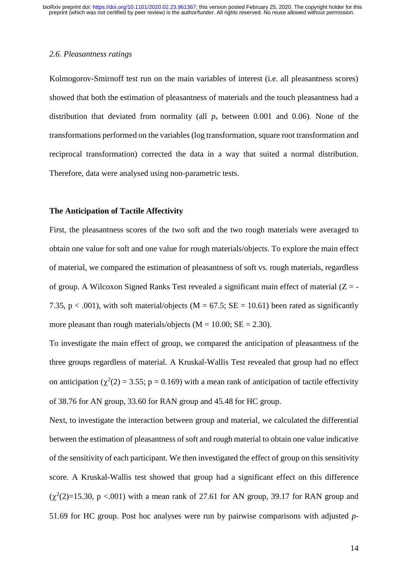#### *2.6. Pleasantness ratings*

Kolmogorov-Smirnoff test run on the main variables of interest (i.e. all pleasantness scores) showed that both the estimation of pleasantness of materials and the touch pleasantness had a distribution that deviated from normality (all *p*<sup>s</sup> between 0.001 and 0.06). None of the transformations performed on the variables (log transformation, square root transformation and reciprocal transformation) corrected the data in a way that suited a normal distribution. Therefore, data were analysed using non-parametric tests.

#### **The Anticipation of Tactile Affectivity**

First, the pleasantness scores of the two soft and the two rough materials were averaged to obtain one value for soft and one value for rough materials/objects. To explore the main effect of material, we compared the estimation of pleasantness of soft vs. rough materials, regardless of group. A Wilcoxon Signed Ranks Test revealed a significant main effect of material  $(Z = -$ 7.35, p < .001), with soft material/objects ( $M = 67.5$ ;  $SE = 10.61$ ) been rated as significantly more pleasant than rough materials/objects ( $M = 10.00$ ;  $SE = 2.30$ ).

To investigate the main effect of group, we compared the anticipation of pleasantness of the three groups regardless of material. A Kruskal-Wallis Test revealed that group had no effect on anticipation ( $\chi^2(2) = 3.55$ ; p = 0.169) with a mean rank of anticipation of tactile effectivity of 38.76 for AN group, 33.60 for RAN group and 45.48 for HC group.

Next, to investigate the interaction between group and material, we calculated the differential between the estimation of pleasantness of soft and rough material to obtain one value indicative of the sensitivity of each participant. We then investigated the effect of group on this sensitivity score. A Kruskal-Wallis test showed that group had a significant effect on this difference  $(\chi^2(2)=15.30, p < .001)$  with a mean rank of 27.61 for AN group, 39.17 for RAN group and 51.69 for HC group. Post hoc analyses were run by pairwise comparisons with adjusted *p-*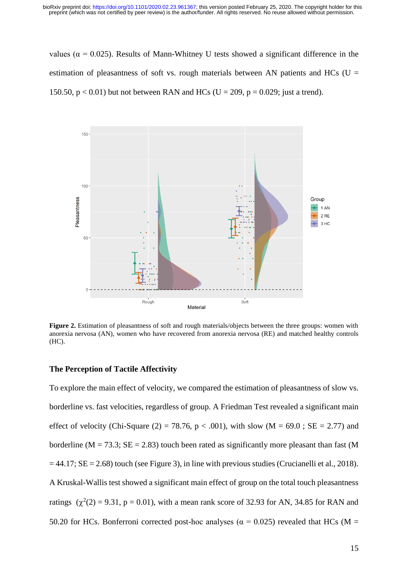values ( $α = 0.025$ ). Results of Mann-Whitney U tests showed a significant difference in the estimation of pleasantness of soft vs. rough materials between AN patients and HCs ( $U =$ 150.50,  $p < 0.01$ ) but not between RAN and HCs (U = 209,  $p = 0.029$ ; just a trend).



Figure 2. Estimation of pleasantness of soft and rough materials/objects between the three groups: women with anorexia nervosa (AN), women who have recovered from anorexia nervosa (RE) and matched healthy controls (HC).

# **The Perception of Tactile Affectivity**

To explore the main effect of velocity, we compared the estimation of pleasantness of slow vs. borderline vs. fast velocities, regardless of group. A Friedman Test revealed a significant main effect of velocity (Chi-Square (2) = 78.76, p < .001), with slow (M = 69.0; SE = 2.77) and borderline ( $M = 73.3$ ;  $SE = 2.83$ ) touch been rated as significantly more pleasant than fast (M  $= 44.17$ ; SE = 2.68) touch (see Figure 3), in line with previous studies (Crucianelli et al., 2018). A Kruskal-Wallis test showed a significant main effect of group on the total touch pleasantness ratings  $(\chi^2(2) = 9.31, p = 0.01)$ , with a mean rank score of 32.93 for AN, 34.85 for RAN and 50.20 for HCs. Bonferroni corrected post-hoc analyses ( $\alpha$  = 0.025) revealed that HCs (M =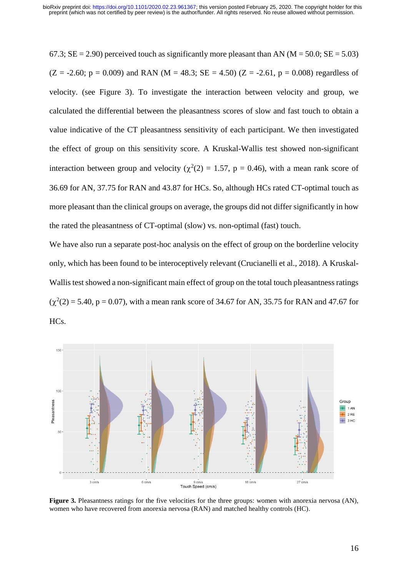67.3;  $SE = 2.90$ ) perceived touch as significantly more pleasant than AN ( $M = 50.0$ ;  $SE = 5.03$ )  $(Z = -2.60; p = 0.009)$  and RAN  $(M = 48.3; SE = 4.50)$   $(Z = -2.61, p = 0.008)$  regardless of velocity. (see Figure 3). To investigate the interaction between velocity and group, we calculated the differential between the pleasantness scores of slow and fast touch to obtain a value indicative of the CT pleasantness sensitivity of each participant. We then investigated the effect of group on this sensitivity score. A Kruskal-Wallis test showed non-significant interaction between group and velocity ( $\chi^2(2) = 1.57$ , p = 0.46), with a mean rank score of 36.69 for AN, 37.75 for RAN and 43.87 for HCs. So, although HCs rated CT-optimal touch as more pleasant than the clinical groups on average, the groups did not differ significantly in how the rated the pleasantness of CT-optimal (slow) vs. non-optimal (fast) touch.

We have also run a separate post-hoc analysis on the effect of group on the borderline velocity only, which has been found to be interoceptively relevant (Crucianelli et al., 2018). A Kruskal-Wallis test showed a non-significant main effect of group on the total touch pleasantness ratings  $(\chi^2(2) = 5.40, p = 0.07)$ , with a mean rank score of 34.67 for AN, 35.75 for RAN and 47.67 for HCs.



**Figure 3.** Pleasantness ratings for the five velocities for the three groups: women with anorexia nervosa (AN), women who have recovered from anorexia nervosa (RAN) and matched healthy controls (HC).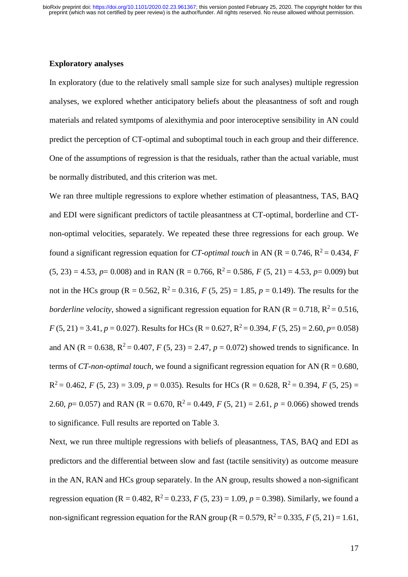# **Exploratory analyses**

In exploratory (due to the relatively small sample size for such analyses) multiple regression analyses, we explored whether anticipatory beliefs about the pleasantness of soft and rough materials and related symtpoms of alexithymia and poor interoceptive sensibility in AN could predict the perception of CT-optimal and suboptimal touch in each group and their difference. One of the assumptions of regression is that the residuals, rather than the actual variable, must be normally distributed, and this criterion was met.

We ran three multiple regressions to explore whether estimation of pleasantness, TAS, BAQ and EDI were significant predictors of tactile pleasantness at CT-optimal, borderline and CTnon-optimal velocities, separately. We repeated these three regressions for each group. We found a significant regression equation for *CT-optimal touch* in AN ( $R = 0.746$ ,  $R^2 = 0.434$ , *F*  $(5, 23) = 4.53$ ,  $p = 0.008$ ) and in RAN (R = 0.766, R<sup>2</sup> = 0.586, *F* (5, 21) = 4.53,  $p = 0.009$ ) but not in the HCs group ( $R = 0.562$ ,  $R^2 = 0.316$ ,  $F (5, 25) = 1.85$ ,  $p = 0.149$ ). The results for the *borderline velocity*, showed a significant regression equation for RAN ( $R = 0.718$ ,  $R^2 = 0.516$ ,  $F(5, 21) = 3.41, p = 0.027$ . Results for HCs (R = 0.627, R<sup>2</sup> = 0.394, *F* (5, 25) = 2.60, *p*= 0.058) and AN (R = 0.638,  $R^2 = 0.407$ , *F* (5, 23) = 2.47, *p* = 0.072) showed trends to significance. In terms of *CT-non-optimal touch*, we found a significant regression equation for AN ( $R = 0.680$ ,  $R^2 = 0.462$ , *F* (5, 23) = 3.09, *p* = 0.035). Results for HCs (R = 0.628, R<sup>2</sup> = 0.394, *F* (5, 25) = 2.60,  $p = 0.057$ ) and RAN (R = 0.670, R<sup>2</sup> = 0.449, *F* (5, 21) = 2.61,  $p = 0.066$ ) showed trends to significance. Full results are reported on Table 3.

Next, we run three multiple regressions with beliefs of pleasantness, TAS, BAQ and EDI as predictors and the differential between slow and fast (tactile sensitivity) as outcome measure in the AN, RAN and HCs group separately. In the AN group, results showed a non-significant regression equation (R = 0.482, R<sup>2</sup> = 0.233, *F* (5, 23) = 1.09, *p* = 0.398). Similarly, we found a non-significant regression equation for the RAN group ( $R = 0.579$ ,  $R^2 = 0.335$ ,  $F(5, 21) = 1.61$ ,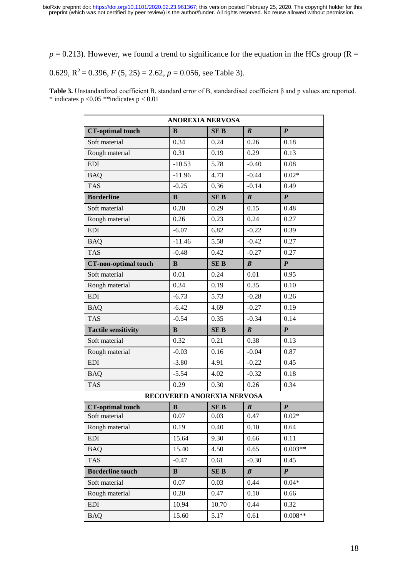$p = 0.213$ ). However, we found a trend to significance for the equation in the HCs group (R =

# 0.629,  $R^2 = 0.396$ ,  $F (5, 25) = 2.62$ ,  $p = 0.056$ , see Table 3).

**Table 3.** Unstandardized coefficient B, standard error of B, standardised coefficient β and p values are reported.  $*$  indicates p < 0.05 \*\*indicates p < 0.01

| <b>ANOREXIA NERVOSA</b>     |                            |            |                  |                    |  |
|-----------------------------|----------------------------|------------|------------------|--------------------|--|
| <b>CT-optimal touch</b>     | B                          | <b>SEB</b> | $\boldsymbol{B}$ | $\boldsymbol{P}$   |  |
| Soft material               | 0.34                       | 0.24       | 0.26             | 0.18               |  |
| Rough material              | 0.31                       | 0.19       | 0.29             | 0.13               |  |
| <b>EDI</b>                  | $-10.53$                   | 5.78       | $-0.40$          | 0.08               |  |
| <b>BAQ</b>                  | $-11.96$                   | 4.73       | $-0.44$          | $0.02*$            |  |
| <b>TAS</b>                  | $-0.25$                    | 0.36       | $-0.14$          | 0.49               |  |
| <b>Borderline</b>           | B                          | <b>SEB</b> | B                | $\boldsymbol{P}$   |  |
| Soft material               | 0.20                       | 0.29       | 0.15             | 0.48               |  |
| Rough material              | 0.26                       | 0.23       | 0.24             | 0.27               |  |
| <b>EDI</b>                  | $-6.07$                    | 6.82       | $-0.22$          | 0.39               |  |
| <b>BAQ</b>                  | $-11.46$                   | 5.58       | $-0.42$          | 0.27               |  |
| <b>TAS</b>                  | $-0.48$                    | 0.42       | $-0.27$          | 0.27               |  |
| <b>CT-non-optimal touch</b> | $\bf{B}$                   | <b>SEB</b> | $\boldsymbol{B}$ | $\boldsymbol{P}$   |  |
| Soft material               | 0.01                       | 0.24       | 0.01             | 0.95               |  |
| Rough material              | 0.34                       | 0.19       | 0.35             | 0.10               |  |
| <b>EDI</b>                  | $-6.73$                    | 5.73       | $-0.28$          | 0.26               |  |
| <b>BAQ</b>                  | $-6.42$                    | 4.69       | $-0.27$          | 0.19               |  |
| <b>TAS</b>                  | $-0.54$                    | 0.35       | $-0.34$          | 0.14               |  |
| <b>Tactile sensitivity</b>  | $\bf{B}$                   | <b>SEB</b> | $\boldsymbol{B}$ | $\boldsymbol{P}$   |  |
| Soft material               | 0.32                       | 0.21       | 0.38             | 0.13               |  |
| Rough material              | $-0.03$                    | 0.16       | $-0.04$          | 0.87               |  |
| <b>EDI</b>                  | $-3.80$                    | 4.91       | $-0.22$          | 0.45               |  |
| <b>BAQ</b>                  | $-5.54$                    | 4.02       | $-0.32$          | 0.18               |  |
| <b>TAS</b>                  | 0.29                       | 0.30       | 0.26             | 0.34               |  |
|                             | RECOVERED ANOREXIA NERVOSA |            |                  |                    |  |
| <b>CT-optimal touch</b>     | B                          | <b>SEB</b> | B                | ${\boldsymbol{P}}$ |  |
| Soft material               | 0.07                       | 0.03       | 0.47             | $0.02*$            |  |
| Rough material              | 0.19                       | 0.40       | 0.10             | 0.64               |  |
| <b>EDI</b>                  | 15.64                      | 9.30       | 0.66             | 0.11               |  |
| <b>BAQ</b>                  | 15.40                      | 4.50       | 0.65             | $0.003**$          |  |
| <b>TAS</b>                  | $-0.47$                    | 0.61       | $-0.30$          | 0.45               |  |
| <b>Borderline touch</b>     | B                          | <b>SEB</b> | $\boldsymbol{B}$ | $\boldsymbol{P}$   |  |
| Soft material               | 0.07                       | 0.03       | 0.44             | $0.04*$            |  |
| Rough material              | 0.20                       | 0.47       | 0.10             | 0.66               |  |
| <b>EDI</b>                  | 10.94                      | 10.70      | 0.44             | 0.32               |  |
| <b>BAQ</b>                  | 15.60                      | 5.17       | 0.61             | $0.008**$          |  |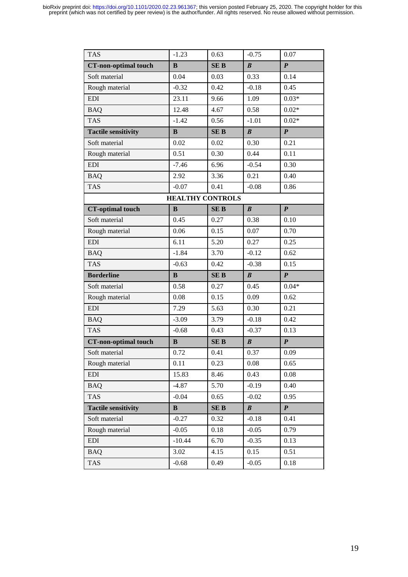| <b>TAS</b>                  | $-1.23$  | 0.63       | $-0.75$          | 0.07             |  |
|-----------------------------|----------|------------|------------------|------------------|--|
| <b>CT-non-optimal touch</b> | $\bf{B}$ | <b>SEB</b> | $\boldsymbol{B}$ | $\boldsymbol{P}$ |  |
| Soft material               | 0.04     | 0.03       | 0.33             | 0.14             |  |
| Rough material              | $-0.32$  | 0.42       | $-0.18$          | 0.45             |  |
| <b>EDI</b>                  | 23.11    | 9.66       | 1.09             | $0.03*$          |  |
| <b>BAQ</b>                  | 12.48    | 4.67       | 0.58             | $0.02*$          |  |
| <b>TAS</b>                  | $-1.42$  | 0.56       | $-1.01$          | $0.02*$          |  |
| <b>Tactile sensitivity</b>  | B        | <b>SEB</b> | $\boldsymbol{B}$ | $\boldsymbol{P}$ |  |
| Soft material               | 0.02     | 0.02       | 0.30             | 0.21             |  |
| Rough material              | 0.51     | 0.30       | 0.44             | 0.11             |  |
| <b>EDI</b>                  | $-7.46$  | 6.96       | $-0.54$          | 0.30             |  |
| <b>BAQ</b>                  | 2.92     | 3.36       | 0.21             | 0.40             |  |
| <b>TAS</b>                  | $-0.07$  | 0.41       | $-0.08$          | 0.86             |  |
| <b>HEALTHY CONTROLS</b>     |          |            |                  |                  |  |
| <b>CT-optimal touch</b>     | B        | <b>SEB</b> | $\boldsymbol{B}$ | $\boldsymbol{P}$ |  |
| Soft material               | 0.45     | 0.27       | 0.38             | 0.10             |  |
| Rough material              | 0.06     | 0.15       | 0.07             | 0.70             |  |
| <b>EDI</b>                  | 6.11     | 5.20       | 0.27             | 0.25             |  |
| <b>BAQ</b>                  | $-1.84$  | 3.70       | $-0.12$          | 0.62             |  |
| <b>TAS</b>                  | $-0.63$  | 0.42       | $-0.38$          | 0.15             |  |
| <b>Borderline</b>           | $\bf{B}$ | <b>SEB</b> | $\boldsymbol{B}$ | $\boldsymbol{P}$ |  |
| Soft material               | 0.58     | 0.27       | 0.45             | $0.04*$          |  |
| Rough material              | 0.08     | 0.15       | 0.09             | 0.62             |  |
| <b>EDI</b>                  | 7.29     | 5.63       | 0.30             | 0.21             |  |
| <b>BAQ</b>                  | $-3.09$  | 3.79       | $-0.18$          | 0.42             |  |
| <b>TAS</b>                  | $-0.68$  | 0.43       | $-0.37$          | 0.13             |  |
| <b>CT-non-optimal touch</b> | $\bf{B}$ | <b>SEB</b> | $\pmb{B}$        | $\boldsymbol{P}$ |  |
| Soft material               | 0.72     | 0.41       | 0.37             | 0.09             |  |
| Rough material              | 0.11     | 0.23       | 0.08             | 0.65             |  |
| <b>EDI</b>                  | 15.83    | 8.46       | 0.43             | 0.08             |  |
| <b>BAQ</b>                  | $-4.87$  | 5.70       | $-0.19$          | 0.40             |  |
| <b>TAS</b>                  | $-0.04$  | 0.65       | $-0.02$          | 0.95             |  |
| <b>Tactile sensitivity</b>  | B        | <b>SEB</b> | $\boldsymbol{B}$ | $\boldsymbol{P}$ |  |
| Soft material               | $-0.27$  | 0.32       | $-0.18$          | 0.41             |  |
| Rough material              | $-0.05$  | 0.18       | $-0.05$          | 0.79             |  |
| <b>EDI</b>                  | $-10.44$ | 6.70       | $-0.35$          | 0.13             |  |
| <b>BAQ</b>                  | 3.02     | 4.15       | 0.15             | 0.51             |  |
| TAS                         | $-0.68$  | 0.49       | $-0.05$          | 0.18             |  |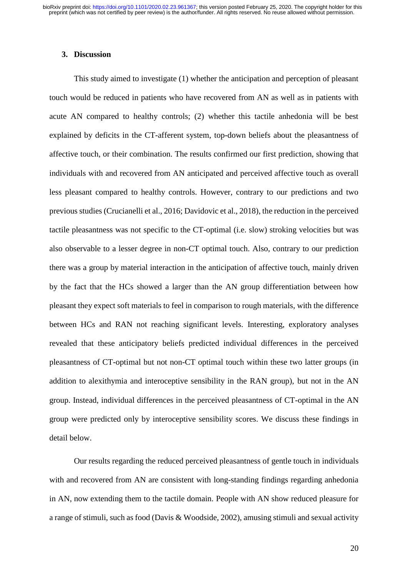#### **3. Discussion**

This study aimed to investigate (1) whether the anticipation and perception of pleasant touch would be reduced in patients who have recovered from AN as well as in patients with acute AN compared to healthy controls; (2) whether this tactile anhedonia will be best explained by deficits in the CT-afferent system, top-down beliefs about the pleasantness of affective touch, or their combination. The results confirmed our first prediction, showing that individuals with and recovered from AN anticipated and perceived affective touch as overall less pleasant compared to healthy controls. However, contrary to our predictions and two previous studies (Crucianelli et al., 2016; Davidovic et al., 2018), the reduction in the perceived tactile pleasantness was not specific to the CT-optimal (i.e. slow) stroking velocities but was also observable to a lesser degree in non-CT optimal touch. Also, contrary to our prediction there was a group by material interaction in the anticipation of affective touch, mainly driven by the fact that the HCs showed a larger than the AN group differentiation between how pleasant they expect soft materials to feel in comparison to rough materials, with the difference between HCs and RAN not reaching significant levels. Interesting, exploratory analyses revealed that these anticipatory beliefs predicted individual differences in the perceived pleasantness of CT-optimal but not non-CT optimal touch within these two latter groups (in addition to alexithymia and interoceptive sensibility in the RAN group), but not in the AN group. Instead, individual differences in the perceived pleasantness of CT-optimal in the AN group were predicted only by interoceptive sensibility scores. We discuss these findings in detail below.

Our results regarding the reduced perceived pleasantness of gentle touch in individuals with and recovered from AN are consistent with long-standing findings regarding anhedonia in AN, now extending them to the tactile domain. People with AN show reduced pleasure for a range of stimuli, such as food (Davis & Woodside, 2002), amusing stimuli and sexual activity

20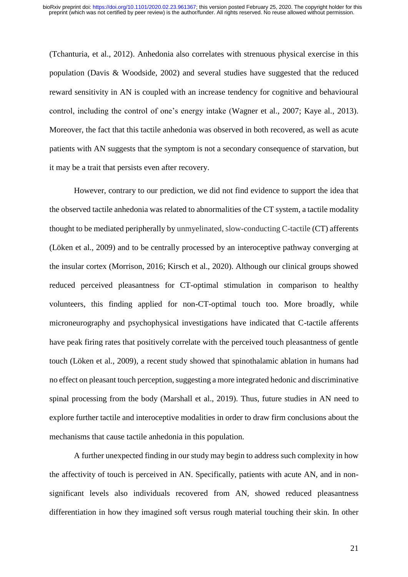(Tchanturia, et al., 2012). Anhedonia also correlates with strenuous physical exercise in this population (Davis & Woodside, 2002) and several studies have suggested that the reduced reward sensitivity in AN is coupled with an increase tendency for cognitive and behavioural control, including the control of one's energy intake (Wagner et al., 2007; Kaye al., 2013). Moreover, the fact that this tactile anhedonia was observed in both recovered, as well as acute patients with AN suggests that the symptom is not a secondary consequence of starvation, but it may be a trait that persists even after recovery.

However, contrary to our prediction, we did not find evidence to support the idea that the observed tactile anhedonia was related to abnormalities of the CT system, a tactile modality thought to be mediated peripherally by unmyelinated, slow-conducting C-tactile (CT) afferents (Löken et al., 2009) and to be centrally processed by an interoceptive pathway converging at the insular cortex (Morrison, 2016; Kirsch et al., 2020). Although our clinical groups showed reduced perceived pleasantness for CT-optimal stimulation in comparison to healthy volunteers, this finding applied for non-CT-optimal touch too. More broadly, while microneurography and psychophysical investigations have indicated that C-tactile afferents have peak firing rates that positively correlate with the perceived touch pleasantness of gentle touch (Löken et al., 2009), a recent study showed that spinothalamic ablation in humans had no effect on pleasant touch perception, suggesting a more integrated hedonic and discriminative spinal processing from the body (Marshall et al., 2019). Thus, future studies in AN need to explore further tactile and interoceptive modalities in order to draw firm conclusions about the mechanisms that cause tactile anhedonia in this population.

A further unexpected finding in our study may begin to address such complexity in how the affectivity of touch is perceived in AN. Specifically, patients with acute AN, and in nonsignificant levels also individuals recovered from AN, showed reduced pleasantness differentiation in how they imagined soft versus rough material touching their skin. In other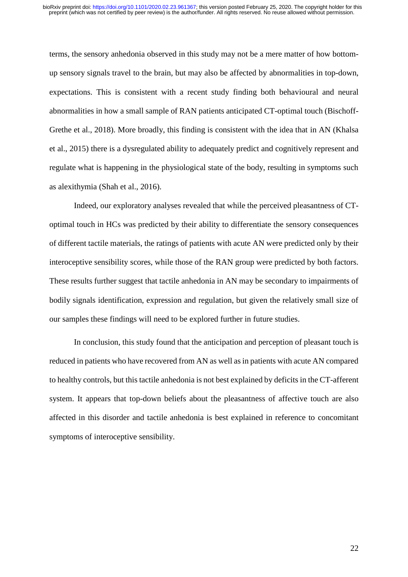terms, the sensory anhedonia observed in this study may not be a mere matter of how bottomup sensory signals travel to the brain, but may also be affected by abnormalities in top-down, expectations. This is consistent with a recent study finding both behavioural and neural abnormalities in how a small sample of RAN patients anticipated CT-optimal touch (Bischoff-Grethe et al., 2018). More broadly, this finding is consistent with the idea that in AN (Khalsa et al., 2015) there is a dysregulated ability to adequately predict and cognitively represent and regulate what is happening in the physiological state of the body, resulting in symptoms such as alexithymia (Shah et al., 2016).

Indeed, our exploratory analyses revealed that while the perceived pleasantness of CToptimal touch in HCs was predicted by their ability to differentiate the sensory consequences of different tactile materials, the ratings of patients with acute AN were predicted only by their interoceptive sensibility scores, while those of the RAN group were predicted by both factors. These results further suggest that tactile anhedonia in AN may be secondary to impairments of bodily signals identification, expression and regulation, but given the relatively small size of our samples these findings will need to be explored further in future studies.

In conclusion, this study found that the anticipation and perception of pleasant touch is reduced in patients who have recovered from AN as well as in patients with acute AN compared to healthy controls, but this tactile anhedonia is not best explained by deficits in the CT-afferent system. It appears that top-down beliefs about the pleasantness of affective touch are also affected in this disorder and tactile anhedonia is best explained in reference to concomitant symptoms of interoceptive sensibility.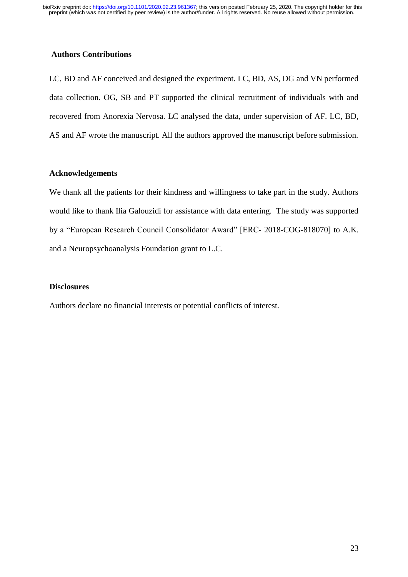# **Authors Contributions**

LC, BD and AF conceived and designed the experiment. LC, BD, AS, DG and VN performed data collection. OG, SB and PT supported the clinical recruitment of individuals with and recovered from Anorexia Nervosa. LC analysed the data, under supervision of AF. LC, BD, AS and AF wrote the manuscript. All the authors approved the manuscript before submission.

# **Acknowledgements**

We thank all the patients for their kindness and willingness to take part in the study. Authors would like to thank Ilia Galouzidi for assistance with data entering. The study was supported by a "European Research Council Consolidator Award" [ERC- 2018-COG-818070] to A.K. and a Neuropsychoanalysis Foundation grant to L.C.

# **Disclosures**

Authors declare no financial interests or potential conflicts of interest.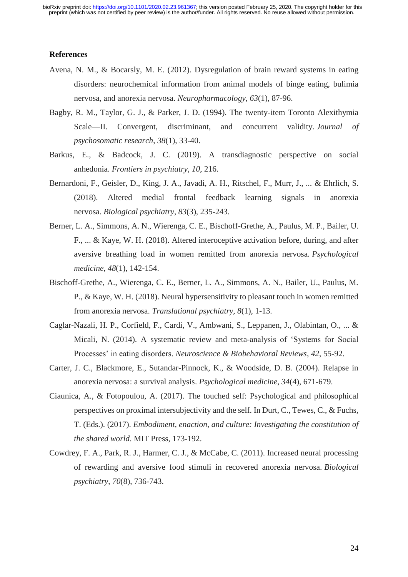#### **References**

- Avena, N. M., & Bocarsly, M. E. (2012). Dysregulation of brain reward systems in eating disorders: neurochemical information from animal models of binge eating, bulimia nervosa, and anorexia nervosa. *Neuropharmacology*, *63*(1), 87-96.
- Bagby, R. M., Taylor, G. J., & Parker, J. D. (1994). The twenty-item Toronto Alexithymia Scale—II. Convergent, discriminant, and concurrent validity. *Journal of psychosomatic research*, *38*(1), 33-40.
- Barkus, E., & Badcock, J. C. (2019). A transdiagnostic perspective on social anhedonia. *Frontiers in psychiatry*, *10*, 216.
- Bernardoni, F., Geisler, D., King, J. A., Javadi, A. H., Ritschel, F., Murr, J., ... & Ehrlich, S. (2018). Altered medial frontal feedback learning signals in anorexia nervosa. *Biological psychiatry*, *83*(3), 235-243.
- Berner, L. A., Simmons, A. N., Wierenga, C. E., Bischoff-Grethe, A., Paulus, M. P., Bailer, U. F., ... & Kaye, W. H. (2018). Altered interoceptive activation before, during, and after aversive breathing load in women remitted from anorexia nervosa. *Psychological medicine*, *48*(1), 142-154.
- Bischoff-Grethe, A., Wierenga, C. E., Berner, L. A., Simmons, A. N., Bailer, U., Paulus, M. P., & Kaye, W. H. (2018). Neural hypersensitivity to pleasant touch in women remitted from anorexia nervosa. *Translational psychiatry*, *8*(1), 1-13.
- Caglar-Nazali, H. P., Corfield, F., Cardi, V., Ambwani, S., Leppanen, J., Olabintan, O., ... & Micali, N. (2014). A systematic review and meta-analysis of 'Systems for Social Processes' in eating disorders. *Neuroscience & Biobehavioral Reviews*, *42*, 55-92.
- Carter, J. C., Blackmore, E., Sutandar-Pinnock, K., & Woodside, D. B. (2004). Relapse in anorexia nervosa: a survival analysis. *Psychological medicine*, *34*(4), 671-679.
- Ciaunica, A., & Fotopoulou, A. (2017). The touched self: Psychological and philosophical perspectives on proximal intersubjectivity and the self. In Durt, C., Tewes, C., & Fuchs, T. (Eds.). (2017). *Embodiment, enaction, and culture: Investigating the constitution of the shared world*. MIT Press, 173-192.
- Cowdrey, F. A., Park, R. J., Harmer, C. J., & McCabe, C. (2011). Increased neural processing of rewarding and aversive food stimuli in recovered anorexia nervosa. *Biological psychiatry*, *70*(8), 736-743.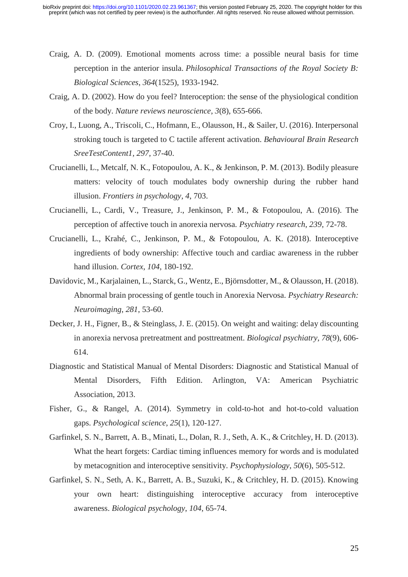- Craig, A. D. (2009). Emotional moments across time: a possible neural basis for time perception in the anterior insula. *Philosophical Transactions of the Royal Society B: Biological Sciences*, *364*(1525), 1933-1942.
- Craig, A. D. (2002). How do you feel? Interoception: the sense of the physiological condition of the body. *Nature reviews neuroscience*, *3*(8), 655-666.
- Croy, I., Luong, A., Triscoli, C., Hofmann, E., Olausson, H., & Sailer, U. (2016). Interpersonal stroking touch is targeted to C tactile afferent activation. *Behavioural Brain Research SreeTestContent1*, *297*, 37-40.
- Crucianelli, L., Metcalf, N. K., Fotopoulou, A. K., & Jenkinson, P. M. (2013). Bodily pleasure matters: velocity of touch modulates body ownership during the rubber hand illusion. *Frontiers in psychology*, *4*, 703.
- Crucianelli, L., Cardi, V., Treasure, J., Jenkinson, P. M., & Fotopoulou, A. (2016). The perception of affective touch in anorexia nervosa. *Psychiatry research*, *239*, 72-78.
- Crucianelli, L., Krahé, C., Jenkinson, P. M., & Fotopoulou, A. K. (2018). Interoceptive ingredients of body ownership: Affective touch and cardiac awareness in the rubber hand illusion. *Cortex*, *104*, 180-192.
- Davidovic, M., Karjalainen, L., Starck, G., Wentz, E., Björnsdotter, M., & Olausson, H. (2018). Abnormal brain processing of gentle touch in Anorexia Nervosa. *Psychiatry Research: Neuroimaging*, *281*, 53-60.
- Decker, J. H., Figner, B., & Steinglass, J. E. (2015). On weight and waiting: delay discounting in anorexia nervosa pretreatment and posttreatment. *Biological psychiatry*, *78*(9), 606- 614.
- Diagnostic and Statistical Manual of Mental Disorders: Diagnostic and Statistical Manual of Mental Disorders, Fifth Edition. Arlington, VA: American Psychiatric Association, 2013.
- Fisher, G., & Rangel, A. (2014). Symmetry in cold-to-hot and hot-to-cold valuation gaps. *Psychological science*, *25*(1), 120-127.
- Garfinkel, S. N., Barrett, A. B., Minati, L., Dolan, R. J., Seth, A. K., & Critchley, H. D. (2013). What the heart forgets: Cardiac timing influences memory for words and is modulated by metacognition and interoceptive sensitivity. *Psychophysiology*, *50*(6), 505-512.
- Garfinkel, S. N., Seth, A. K., Barrett, A. B., Suzuki, K., & Critchley, H. D. (2015). Knowing your own heart: distinguishing interoceptive accuracy from interoceptive awareness. *Biological psychology*, *104*, 65-74.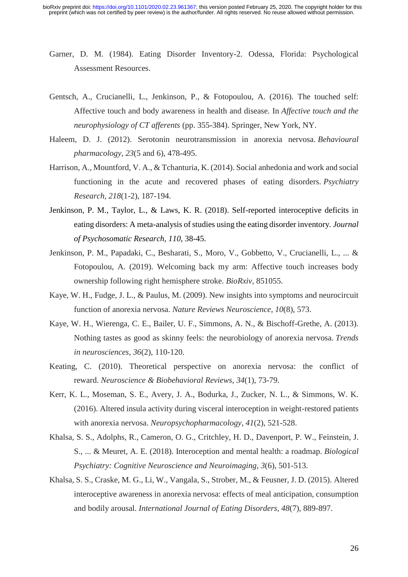- Garner, D. M. (1984). Eating Disorder Inventory-2. Odessa, Florida: Psychological Assessment Resources.
- Gentsch, A., Crucianelli, L., Jenkinson, P., & Fotopoulou, A. (2016). The touched self: Affective touch and body awareness in health and disease. In *Affective touch and the neurophysiology of CT afferents* (pp. 355-384). Springer, New York, NY.
- Haleem, D. J. (2012). Serotonin neurotransmission in anorexia nervosa. *Behavioural pharmacology*, *23*(5 and 6), 478-495.
- Harrison, A., Mountford, V. A., & Tchanturia, K. (2014). Social anhedonia and work and social functioning in the acute and recovered phases of eating disorders. *Psychiatry Research*, *218*(1-2), 187-194.
- Jenkinson, P. M., Taylor, L., & Laws, K. R. (2018). Self-reported interoceptive deficits in eating disorders: A meta-analysis of studies using the eating disorder inventory. *Journal of Psychosomatic Research*, *110*, 38-45.
- Jenkinson, P. M., Papadaki, C., Besharati, S., Moro, V., Gobbetto, V., Crucianelli, L., ... & Fotopoulou, A. (2019). Welcoming back my arm: Affective touch increases body ownership following right hemisphere stroke. *BioRxiv*, 851055.
- Kaye, W. H., Fudge, J. L., & Paulus, M. (2009). New insights into symptoms and neurocircuit function of anorexia nervosa. *Nature Reviews Neuroscience*, *10*(8), 573.
- Kaye, W. H., Wierenga, C. E., Bailer, U. F., Simmons, A. N., & Bischoff-Grethe, A. (2013). Nothing tastes as good as skinny feels: the neurobiology of anorexia nervosa. *Trends in neurosciences*, *36*(2), 110-120.
- Keating, C. (2010). Theoretical perspective on anorexia nervosa: the conflict of reward. *Neuroscience & Biobehavioral Reviews*, *34*(1), 73-79.
- Kerr, K. L., Moseman, S. E., Avery, J. A., Bodurka, J., Zucker, N. L., & Simmons, W. K. (2016). Altered insula activity during visceral interoception in weight-restored patients with anorexia nervosa. *Neuropsychopharmacology*, *41*(2), 521-528.
- Khalsa, S. S., Adolphs, R., Cameron, O. G., Critchley, H. D., Davenport, P. W., Feinstein, J. S., ... & Meuret, A. E. (2018). Interoception and mental health: a roadmap. *Biological Psychiatry: Cognitive Neuroscience and Neuroimaging*, *3*(6), 501-513.
- Khalsa, S. S., Craske, M. G., Li, W., Vangala, S., Strober, M., & Feusner, J. D. (2015). Altered interoceptive awareness in anorexia nervosa: effects of meal anticipation, consumption and bodily arousal. *International Journal of Eating Disorders*, *48*(7), 889-897.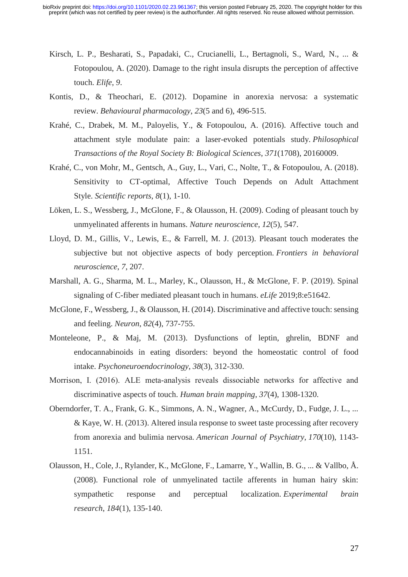- Kirsch, L. P., Besharati, S., Papadaki, C., Crucianelli, L., Bertagnoli, S., Ward, N., ... & Fotopoulou, A. (2020). Damage to the right insula disrupts the perception of affective touch. *Elife*, *9*.
- Kontis, D., & Theochari, E. (2012). Dopamine in anorexia nervosa: a systematic review. *Behavioural pharmacology*, *23*(5 and 6), 496-515.
- Krahé, C., Drabek, M. M., Paloyelis, Y., & Fotopoulou, A. (2016). Affective touch and attachment style modulate pain: a laser-evoked potentials study. *Philosophical Transactions of the Royal Society B: Biological Sciences*, *371*(1708), 20160009.
- Krahé, C., von Mohr, M., Gentsch, A., Guy, L., Vari, C., Nolte, T., & Fotopoulou, A. (2018). Sensitivity to CT-optimal, Affective Touch Depends on Adult Attachment Style. *Scientific reports*, *8*(1), 1-10.
- Löken, L. S., Wessberg, J., McGlone, F., & Olausson, H. (2009). Coding of pleasant touch by unmyelinated afferents in humans. *Nature neuroscience*, *12*(5), 547.
- Lloyd, D. M., Gillis, V., Lewis, E., & Farrell, M. J. (2013). Pleasant touch moderates the subjective but not objective aspects of body perception. *Frontiers in behavioral neuroscience*, *7*, 207.
- Marshall, A. G., Sharma, M. L., Marley, K., Olausson, H., & McGlone, F. P. (2019). Spinal signaling of C-fiber mediated pleasant touch in humans. *eLife* 2019;8:e51642.
- McGlone, F., Wessberg, J., & Olausson, H. (2014). Discriminative and affective touch: sensing and feeling. *Neuron*, *82*(4), 737-755.
- Monteleone, P., & Maj, M. (2013). Dysfunctions of leptin, ghrelin, BDNF and endocannabinoids in eating disorders: beyond the homeostatic control of food intake. *Psychoneuroendocrinology*, *38*(3), 312-330.
- Morrison, I. (2016). ALE meta‐analysis reveals dissociable networks for affective and discriminative aspects of touch. *Human brain mapping*, *37*(4), 1308-1320.
- Oberndorfer, T. A., Frank, G. K., Simmons, A. N., Wagner, A., McCurdy, D., Fudge, J. L., ... & Kaye, W. H. (2013). Altered insula response to sweet taste processing after recovery from anorexia and bulimia nervosa. *American Journal of Psychiatry*, *170*(10), 1143- 1151.
- Olausson, H., Cole, J., Rylander, K., McGlone, F., Lamarre, Y., Wallin, B. G., ... & Vallbo, Å. (2008). Functional role of unmyelinated tactile afferents in human hairy skin: sympathetic response and perceptual localization. *Experimental brain research*, *184*(1), 135-140.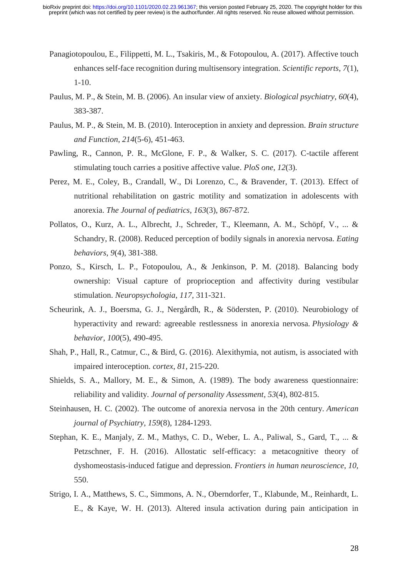- Panagiotopoulou, E., Filippetti, M. L., Tsakiris, M., & Fotopoulou, A. (2017). Affective touch enhances self-face recognition during multisensory integration. *Scientific reports*, *7*(1), 1-10.
- Paulus, M. P., & Stein, M. B. (2006). An insular view of anxiety. *Biological psychiatry*, *60*(4), 383-387.
- Paulus, M. P., & Stein, M. B. (2010). Interoception in anxiety and depression. *Brain structure and Function*, *214*(5-6), 451-463.
- Pawling, R., Cannon, P. R., McGlone, F. P., & Walker, S. C. (2017). C-tactile afferent stimulating touch carries a positive affective value. *PloS one*, *12*(3).
- Perez, M. E., Coley, B., Crandall, W., Di Lorenzo, C., & Bravender, T. (2013). Effect of nutritional rehabilitation on gastric motility and somatization in adolescents with anorexia. *The Journal of pediatrics*, *163*(3), 867-872.
- Pollatos, O., Kurz, A. L., Albrecht, J., Schreder, T., Kleemann, A. M., Schöpf, V., ... & Schandry, R. (2008). Reduced perception of bodily signals in anorexia nervosa. *Eating behaviors*, *9*(4), 381-388.
- Ponzo, S., Kirsch, L. P., Fotopoulou, A., & Jenkinson, P. M. (2018). Balancing body ownership: Visual capture of proprioception and affectivity during vestibular stimulation. *Neuropsychologia*, *117*, 311-321.
- Scheurink, A. J., Boersma, G. J., Nergårdh, R., & Södersten, P. (2010). Neurobiology of hyperactivity and reward: agreeable restlessness in anorexia nervosa. *Physiology & behavior*, *100*(5), 490-495.
- Shah, P., Hall, R., Catmur, C., & Bird, G. (2016). Alexithymia, not autism, is associated with impaired interoception. *cortex*, *81*, 215-220.
- Shields, S. A., Mallory, M. E., & Simon, A. (1989). The body awareness questionnaire: reliability and validity. *Journal of personality Assessment*, *53*(4), 802-815.
- Steinhausen, H. C. (2002). The outcome of anorexia nervosa in the 20th century. *American journal of Psychiatry*, *159*(8), 1284-1293.
- Stephan, K. E., Manjaly, Z. M., Mathys, C. D., Weber, L. A., Paliwal, S., Gard, T., ... & Petzschner, F. H. (2016). Allostatic self-efficacy: a metacognitive theory of dyshomeostasis-induced fatigue and depression. *Frontiers in human neuroscience*, *10*, 550.
- Strigo, I. A., Matthews, S. C., Simmons, A. N., Oberndorfer, T., Klabunde, M., Reinhardt, L. E., & Kaye, W. H. (2013). Altered insula activation during pain anticipation in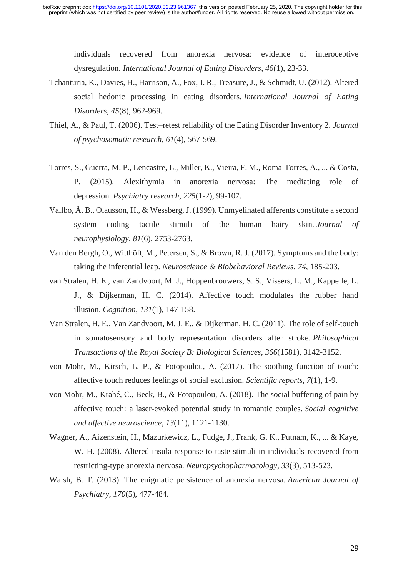individuals recovered from anorexia nervosa: evidence of interoceptive dysregulation. *International Journal of Eating Disorders*, *46*(1), 23-33.

- Tchanturia, K., Davies, H., Harrison, A., Fox, J. R., Treasure, J., & Schmidt, U. (2012). Altered social hedonic processing in eating disorders. *International Journal of Eating Disorders*, *45*(8), 962-969.
- Thiel, A., & Paul, T. (2006). Test–retest reliability of the Eating Disorder Inventory 2. *Journal of psychosomatic research*, *61*(4), 567-569.
- Torres, S., Guerra, M. P., Lencastre, L., Miller, K., Vieira, F. M., Roma-Torres, A., ... & Costa, P. (2015). Alexithymia in anorexia nervosa: The mediating role of depression. *Psychiatry research*, *225*(1-2), 99-107.
- Vallbo, Å. B., Olausson, H., & Wessberg, J. (1999). Unmyelinated afferents constitute a second system coding tactile stimuli of the human hairy skin. *Journal of neurophysiology*, *81*(6), 2753-2763.
- Van den Bergh, O., Witthöft, M., Petersen, S., & Brown, R. J. (2017). Symptoms and the body: taking the inferential leap. *Neuroscience & Biobehavioral Reviews*, *74*, 185-203.
- van Stralen, H. E., van Zandvoort, M. J., Hoppenbrouwers, S. S., Vissers, L. M., Kappelle, L. J., & Dijkerman, H. C. (2014). Affective touch modulates the rubber hand illusion. *Cognition*, *131*(1), 147-158.
- Van Stralen, H. E., Van Zandvoort, M. J. E., & Dijkerman, H. C. (2011). The role of self-touch in somatosensory and body representation disorders after stroke. *Philosophical Transactions of the Royal Society B: Biological Sciences*, *366*(1581), 3142-3152.
- von Mohr, M., Kirsch, L. P., & Fotopoulou, A. (2017). The soothing function of touch: affective touch reduces feelings of social exclusion. *Scientific reports*, *7*(1), 1-9.
- von Mohr, M., Krahé, C., Beck, B., & Fotopoulou, A. (2018). The social buffering of pain by affective touch: a laser-evoked potential study in romantic couples. *Social cognitive and affective neuroscience*, *13*(11), 1121-1130.
- Wagner, A., Aizenstein, H., Mazurkewicz, L., Fudge, J., Frank, G. K., Putnam, K., ... & Kaye, W. H. (2008). Altered insula response to taste stimuli in individuals recovered from restricting-type anorexia nervosa. *Neuropsychopharmacology*, *33*(3), 513-523.
- Walsh, B. T. (2013). The enigmatic persistence of anorexia nervosa. *American Journal of Psychiatry*, *170*(5), 477-484.